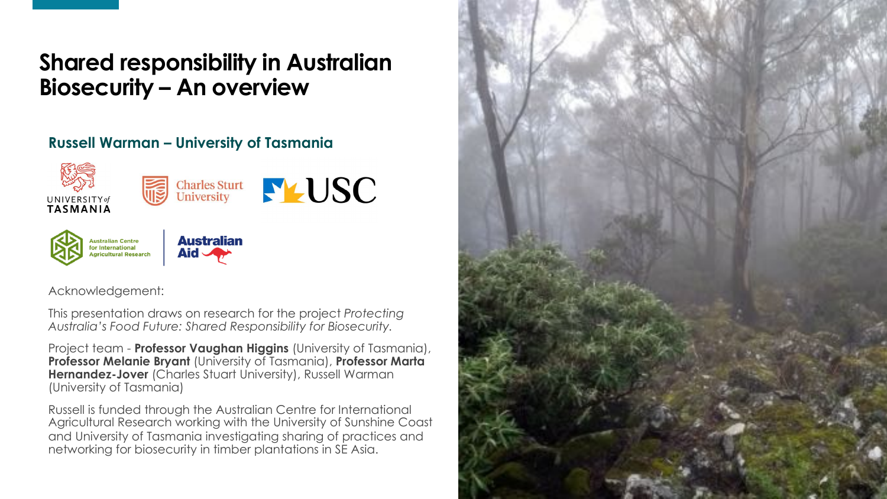### **Shared responsibility in Australian Biosecurity – An overview**

#### **Russell Warman – University of Tasmania**



Acknowledgement:

This presentation draws on research for the project *Protecting Australia's Food Future: Shared Responsibility for Biosecurity.* 

Project team - **Professor Vaughan Higgins** (University of Tasmania), **Professor Melanie Bryant** (University of Tasmania), **Professor Marta Hernandez-Jover** (Charles Stuart University), Russell Warman (University of Tasmania)

Russell is funded through the Australian Centre for International Agricultural Research working with the University of Sunshine Coast and University of Tasmania investigating sharing of practices and networking for biosecurity in timber plantations in SE Asia.

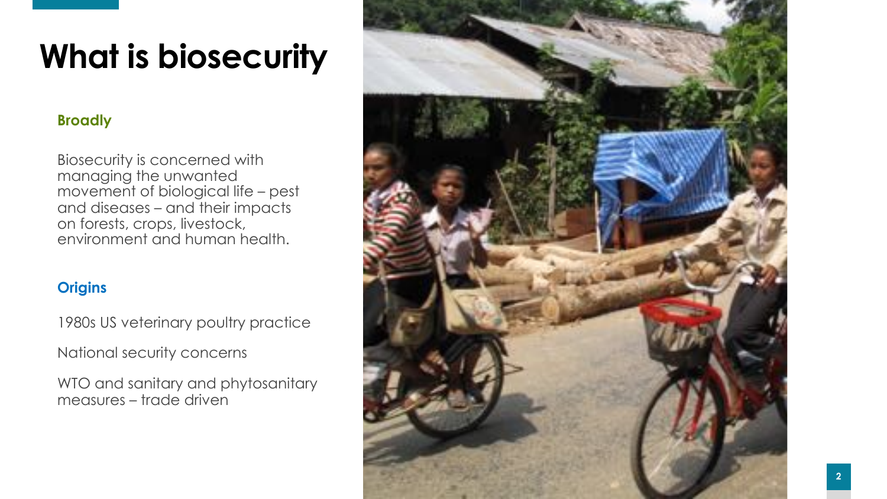## **What is biosecurity**

### **Broadly**

Biosecurity is concerned with managing the unwanted movement of biological life – pest and diseases – and their impacts on forests, crops, livestock, environment and human health.

### **Origins**

1980s US veterinary poultry practice

National security concerns

WTO and sanitary and phytosanitary measures – trade driven

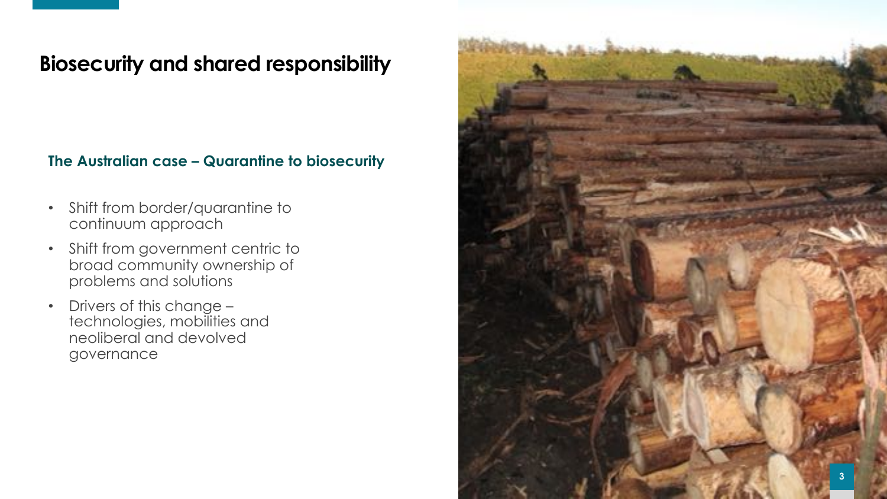### **Biosecurity and shared responsibility**

**The Australian case – Quarantine to biosecurity**

- Shift from border/quarantine to continuum approach
- Shift from government centric to broad community ownership of problems and solutions
- Drivers of this change technologies, mobilities and neoliberal and devolved governance

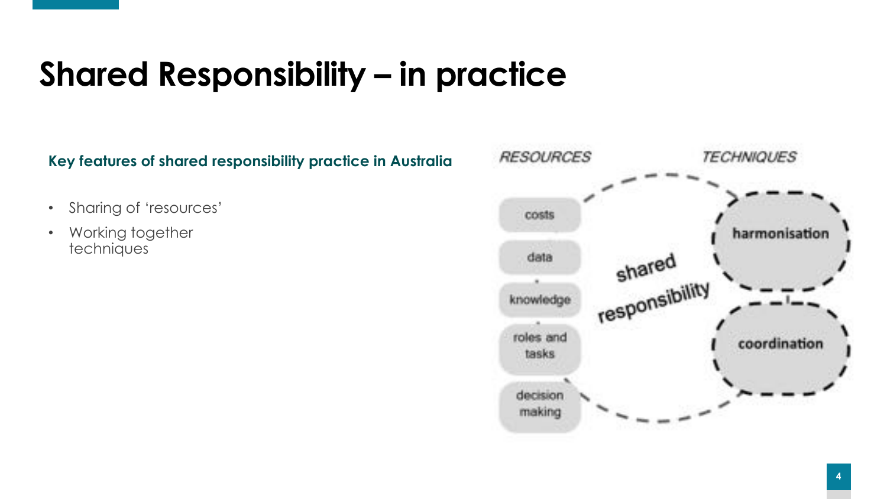## **Shared Responsibility – in practice**

**Key features of shared responsibility practice in Australia**

- Sharing of 'resources'
- Working together techniques

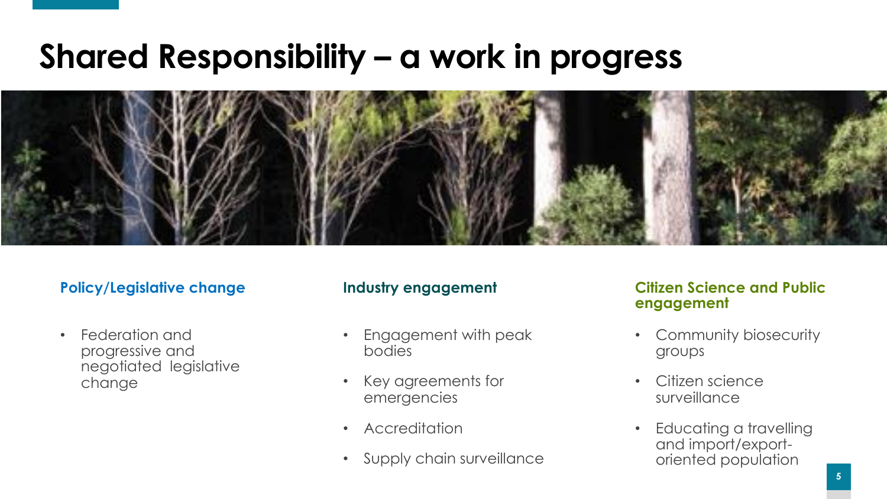### **Shared Responsibility – a work in progress**



### **Policy/Legislative change**

Federation and progressive and negotiated legislative change

#### **Industry engagement**

- Engagement with peak bodies
- Key agreements for emergencies
- Accreditation
- Supply chain surveillance

#### **Citizen Science and Public engagement**

- Community biosecurity groups
- Citizen science surveillance
- Educating a travelling and import/exportoriented population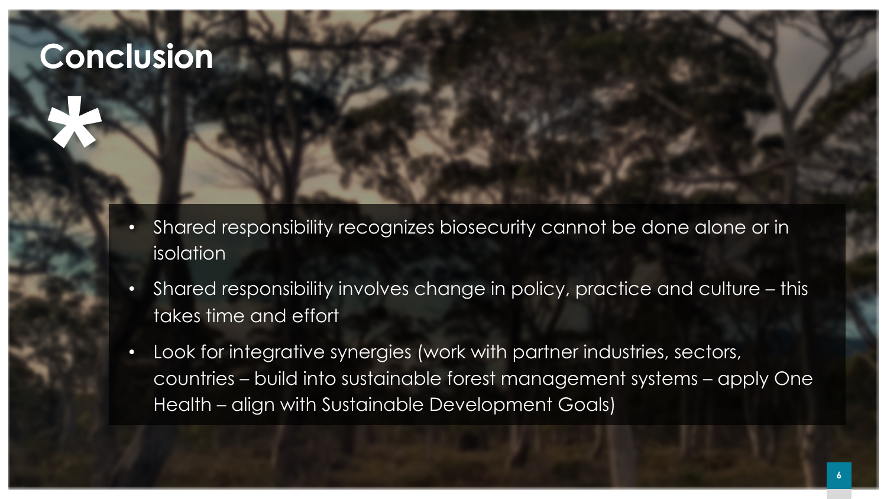### **Conclusion**

**\***

- Shared responsibility recognizes biosecurity cannot be done alone or in isolation
- Shared responsibility involves change in policy, practice and culture this takes time and effort
- Look for integrative synergies (work with partner industries, sectors, countries – build into sustainable forest management systems – apply One Health – align with Sustainable Development Goals)